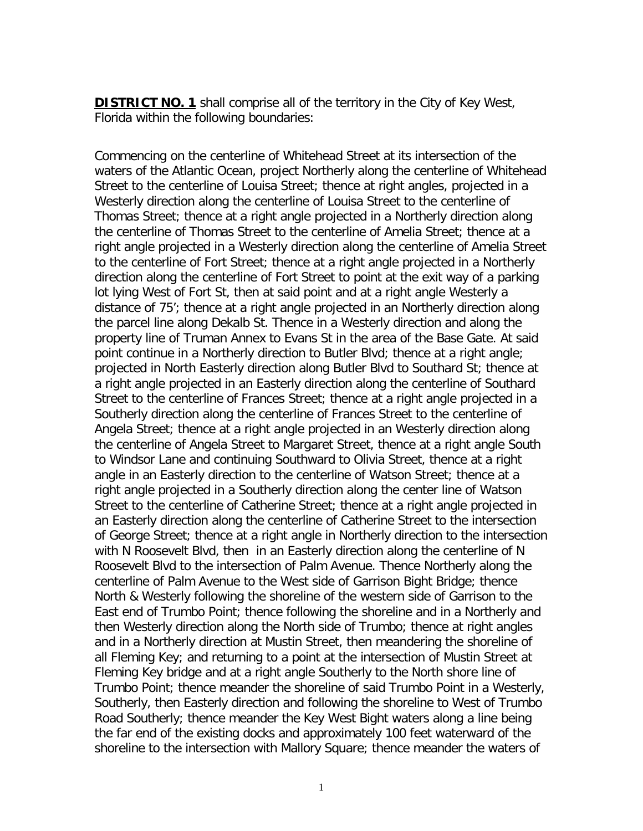**DISTRICT NO. 1** shall comprise all of the territory in the City of Key West, Florida within the following boundaries:

Commencing on the centerline of Whitehead Street at its intersection of the waters of the Atlantic Ocean, project Northerly along the centerline of Whitehead Street to the centerline of Louisa Street; thence at right angles, projected in a Westerly direction along the centerline of Louisa Street to the centerline of Thomas Street; thence at a right angle projected in a Northerly direction along the centerline of Thomas Street to the centerline of Amelia Street; thence at a right angle projected in a Westerly direction along the centerline of Amelia Street to the centerline of Fort Street; thence at a right angle projected in a Northerly direction along the centerline of Fort Street to point at the exit way of a parking lot lying West of Fort St, then at said point and at a right angle Westerly a distance of 75'; thence at a right angle projected in an Northerly direction along the parcel line along Dekalb St. Thence in a Westerly direction and along the property line of Truman Annex to Evans St in the area of the Base Gate. At said point continue in a Northerly direction to Butler Blvd; thence at a right angle; projected in North Easterly direction along Butler Blvd to Southard St; thence at a right angle projected in an Easterly direction along the centerline of Southard Street to the centerline of Frances Street; thence at a right angle projected in a Southerly direction along the centerline of Frances Street to the centerline of Angela Street; thence at a right angle projected in an Westerly direction along the centerline of Angela Street to Margaret Street, thence at a right angle South to Windsor Lane and continuing Southward to Olivia Street, thence at a right angle in an Easterly direction to the centerline of Watson Street; thence at a right angle projected in a Southerly direction along the center line of Watson Street to the centerline of Catherine Street; thence at a right angle projected in an Easterly direction along the centerline of Catherine Street to the intersection of George Street; thence at a right angle in Northerly direction to the intersection with N Roosevelt Blvd, then in an Easterly direction along the centerline of N Roosevelt Blvd to the intersection of Palm Avenue. Thence Northerly along the centerline of Palm Avenue to the West side of Garrison Bight Bridge; thence North & Westerly following the shoreline of the western side of Garrison to the East end of Trumbo Point; thence following the shoreline and in a Northerly and then Westerly direction along the North side of Trumbo; thence at right angles and in a Northerly direction at Mustin Street, then meandering the shoreline of all Fleming Key; and returning to a point at the intersection of Mustin Street at Fleming Key bridge and at a right angle Southerly to the North shore line of Trumbo Point; thence meander the shoreline of said Trumbo Point in a Westerly, Southerly, then Easterly direction and following the shoreline to West of Trumbo Road Southerly; thence meander the Key West Bight waters along a line being the far end of the existing docks and approximately 100 feet waterward of the shoreline to the intersection with Mallory Square; thence meander the waters of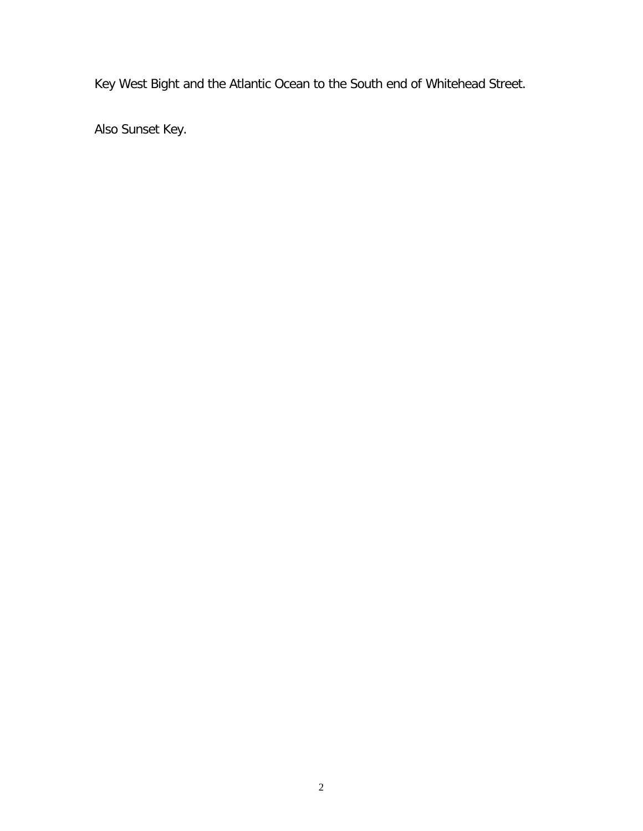Key West Bight and the Atlantic Ocean to the South end of Whitehead Street.

Also Sunset Key.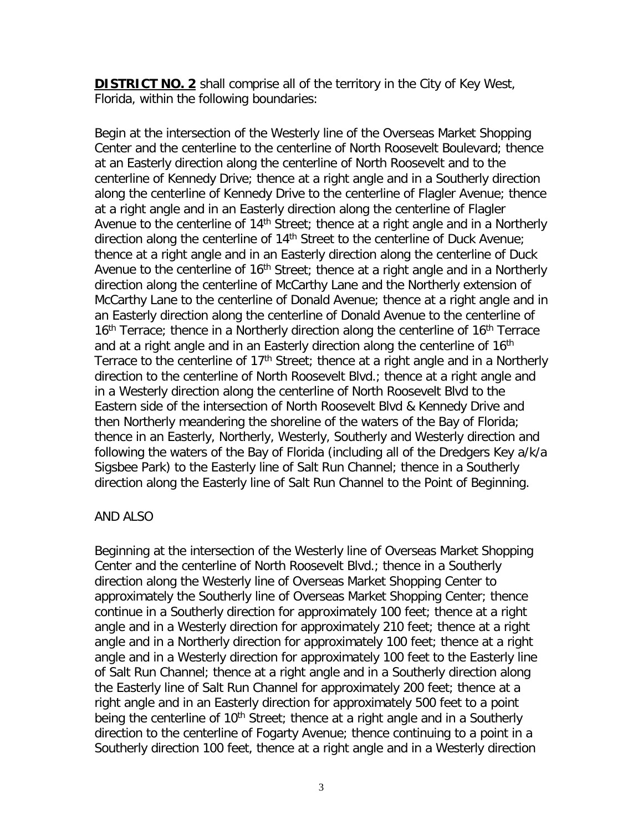**DISTRICT NO. 2** shall comprise all of the territory in the City of Key West, Florida, within the following boundaries:

Begin at the intersection of the Westerly line of the Overseas Market Shopping Center and the centerline to the centerline of North Roosevelt Boulevard; thence at an Easterly direction along the centerline of North Roosevelt and to the centerline of Kennedy Drive; thence at a right angle and in a Southerly direction along the centerline of Kennedy Drive to the centerline of Flagler Avenue; thence at a right angle and in an Easterly direction along the centerline of Flagler Avenue to the centerline of  $14<sup>th</sup>$  Street; thence at a right angle and in a Northerly direction along the centerline of 14<sup>th</sup> Street to the centerline of Duck Avenue; thence at a right angle and in an Easterly direction along the centerline of Duck Avenue to the centerline of  $16<sup>th</sup>$  Street; thence at a right angle and in a Northerly direction along the centerline of McCarthy Lane and the Northerly extension of McCarthy Lane to the centerline of Donald Avenue; thence at a right angle and in an Easterly direction along the centerline of Donald Avenue to the centerline of  $16<sup>th</sup>$  Terrace; thence in a Northerly direction along the centerline of  $16<sup>th</sup>$  Terrace and at a right angle and in an Easterly direction along the centerline of 16<sup>th</sup> Terrace to the centerline of 17<sup>th</sup> Street; thence at a right angle and in a Northerly direction to the centerline of North Roosevelt Blvd.; thence at a right angle and in a Westerly direction along the centerline of North Roosevelt Blvd to the Eastern side of the intersection of North Roosevelt Blvd & Kennedy Drive and then Northerly meandering the shoreline of the waters of the Bay of Florida; thence in an Easterly, Northerly, Westerly, Southerly and Westerly direction and following the waters of the Bay of Florida (including all of the Dredgers Key a/k/a Sigsbee Park) to the Easterly line of Salt Run Channel; thence in a Southerly direction along the Easterly line of Salt Run Channel to the Point of Beginning.

## AND ALSO

Beginning at the intersection of the Westerly line of Overseas Market Shopping Center and the centerline of North Roosevelt Blvd.; thence in a Southerly direction along the Westerly line of Overseas Market Shopping Center to approximately the Southerly line of Overseas Market Shopping Center; thence continue in a Southerly direction for approximately 100 feet; thence at a right angle and in a Westerly direction for approximately 210 feet; thence at a right angle and in a Northerly direction for approximately 100 feet; thence at a right angle and in a Westerly direction for approximately 100 feet to the Easterly line of Salt Run Channel; thence at a right angle and in a Southerly direction along the Easterly line of Salt Run Channel for approximately 200 feet; thence at a right angle and in an Easterly direction for approximately 500 feet to a point being the centerline of  $10<sup>th</sup>$  Street; thence at a right angle and in a Southerly direction to the centerline of Fogarty Avenue; thence continuing to a point in a Southerly direction 100 feet, thence at a right angle and in a Westerly direction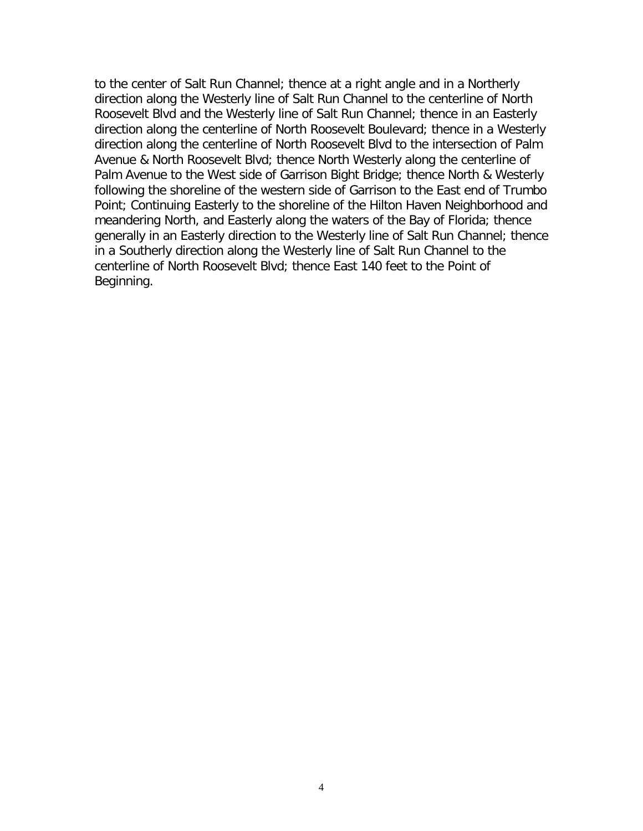to the center of Salt Run Channel; thence at a right angle and in a Northerly direction along the Westerly line of Salt Run Channel to the centerline of North Roosevelt Blvd and the Westerly line of Salt Run Channel; thence in an Easterly direction along the centerline of North Roosevelt Boulevard; thence in a Westerly direction along the centerline of North Roosevelt Blvd to the intersection of Palm Avenue & North Roosevelt Blvd; thence North Westerly along the centerline of Palm Avenue to the West side of Garrison Bight Bridge; thence North & Westerly following the shoreline of the western side of Garrison to the East end of Trumbo Point; Continuing Easterly to the shoreline of the Hilton Haven Neighborhood and meandering North, and Easterly along the waters of the Bay of Florida; thence generally in an Easterly direction to the Westerly line of Salt Run Channel; thence in a Southerly direction along the Westerly line of Salt Run Channel to the centerline of North Roosevelt Blvd; thence East 140 feet to the Point of Beginning.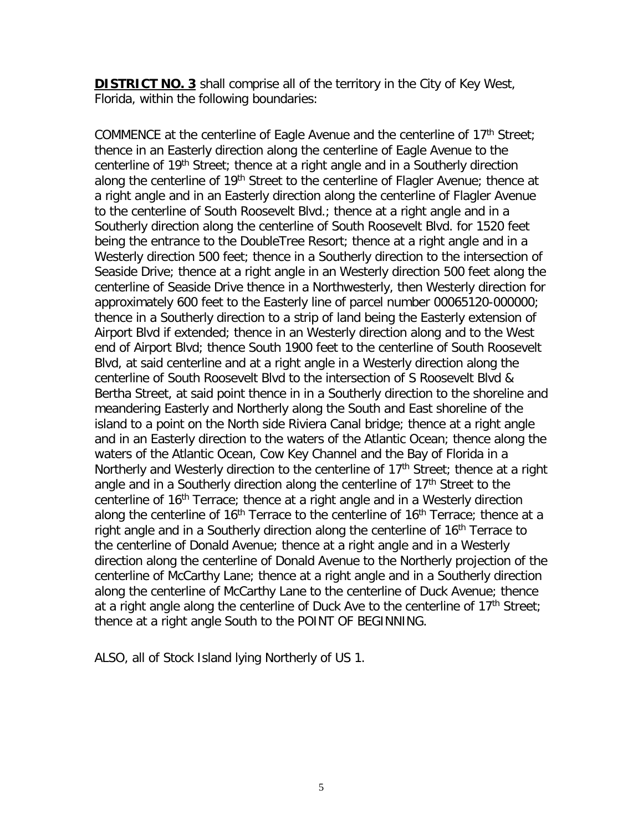**DISTRICT NO. 3** shall comprise all of the territory in the City of Key West, Florida, within the following boundaries:

COMMENCE at the centerline of Eagle Avenue and the centerline of 17<sup>th</sup> Street; thence in an Easterly direction along the centerline of Eagle Avenue to the centerline of 19th Street; thence at a right angle and in a Southerly direction along the centerline of 19<sup>th</sup> Street to the centerline of Flagler Avenue; thence at a right angle and in an Easterly direction along the centerline of Flagler Avenue to the centerline of South Roosevelt Blvd.; thence at a right angle and in a Southerly direction along the centerline of South Roosevelt Blvd. for 1520 feet being the entrance to the DoubleTree Resort; thence at a right angle and in a Westerly direction 500 feet; thence in a Southerly direction to the intersection of Seaside Drive; thence at a right angle in an Westerly direction 500 feet along the centerline of Seaside Drive thence in a Northwesterly, then Westerly direction for approximately 600 feet to the Easterly line of parcel number 00065120-000000; thence in a Southerly direction to a strip of land being the Easterly extension of Airport Blvd if extended; thence in an Westerly direction along and to the West end of Airport Blvd; thence South 1900 feet to the centerline of South Roosevelt Blvd, at said centerline and at a right angle in a Westerly direction along the centerline of South Roosevelt Blvd to the intersection of S Roosevelt Blvd & Bertha Street, at said point thence in in a Southerly direction to the shoreline and meandering Easterly and Northerly along the South and East shoreline of the island to a point on the North side Riviera Canal bridge; thence at a right angle and in an Easterly direction to the waters of the Atlantic Ocean; thence along the waters of the Atlantic Ocean, Cow Key Channel and the Bay of Florida in a Northerly and Westerly direction to the centerline of  $17<sup>th</sup>$  Street; thence at a right angle and in a Southerly direction along the centerline of 17<sup>th</sup> Street to the centerline of 16<sup>th</sup> Terrace; thence at a right angle and in a Westerly direction along the centerline of  $16<sup>th</sup>$  Terrace to the centerline of  $16<sup>th</sup>$  Terrace; thence at a right angle and in a Southerly direction along the centerline of 16<sup>th</sup> Terrace to the centerline of Donald Avenue; thence at a right angle and in a Westerly direction along the centerline of Donald Avenue to the Northerly projection of the centerline of McCarthy Lane; thence at a right angle and in a Southerly direction along the centerline of McCarthy Lane to the centerline of Duck Avenue; thence at a right angle along the centerline of Duck Ave to the centerline of  $17<sup>th</sup>$  Street; thence at a right angle South to the POINT OF BEGINNING.

ALSO, all of Stock Island lying Northerly of US 1.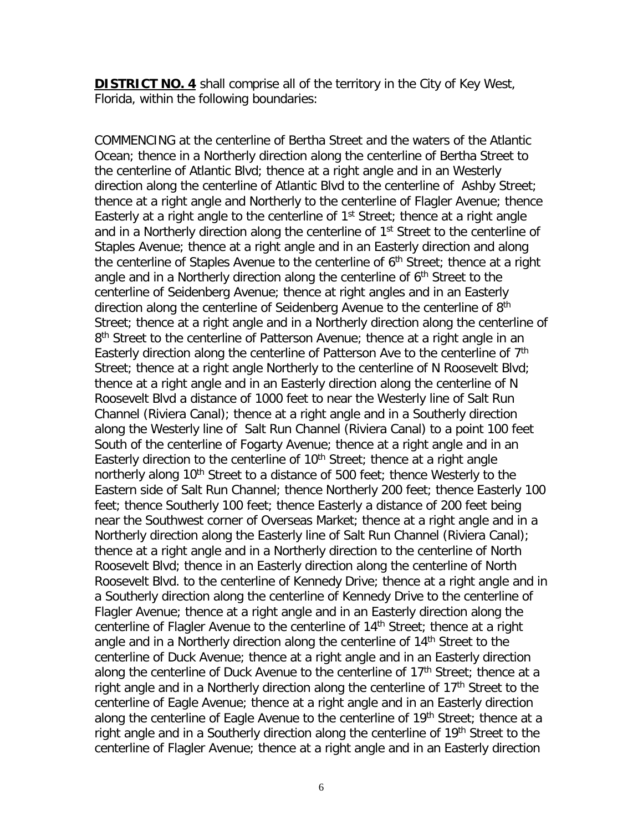**DISTRICT NO. 4** shall comprise all of the territory in the City of Key West, Florida, within the following boundaries:

COMMENCING at the centerline of Bertha Street and the waters of the Atlantic Ocean; thence in a Northerly direction along the centerline of Bertha Street to the centerline of Atlantic Blvd; thence at a right angle and in an Westerly direction along the centerline of Atlantic Blvd to the centerline of Ashby Street; thence at a right angle and Northerly to the centerline of Flagler Avenue; thence Easterly at a right angle to the centerline of  $1<sup>st</sup>$  Street; thence at a right angle and in a Northerly direction along the centerline of 1<sup>st</sup> Street to the centerline of Staples Avenue; thence at a right angle and in an Easterly direction and along the centerline of Staples Avenue to the centerline of  $6<sup>th</sup>$  Street; thence at a right angle and in a Northerly direction along the centerline of  $6<sup>th</sup>$  Street to the centerline of Seidenberg Avenue; thence at right angles and in an Easterly direction along the centerline of Seidenberg Avenue to the centerline of 8<sup>th</sup> Street; thence at a right angle and in a Northerly direction along the centerline of 8<sup>th</sup> Street to the centerline of Patterson Avenue; thence at a right angle in an Easterly direction along the centerline of Patterson Ave to the centerline of 7<sup>th</sup> Street; thence at a right angle Northerly to the centerline of N Roosevelt Blvd; thence at a right angle and in an Easterly direction along the centerline of N Roosevelt Blvd a distance of 1000 feet to near the Westerly line of Salt Run Channel (Riviera Canal); thence at a right angle and in a Southerly direction along the Westerly line of Salt Run Channel (Riviera Canal) to a point 100 feet South of the centerline of Fogarty Avenue; thence at a right angle and in an Easterly direction to the centerline of  $10<sup>th</sup>$  Street; thence at a right angle northerly along 10<sup>th</sup> Street to a distance of 500 feet; thence Westerly to the Eastern side of Salt Run Channel; thence Northerly 200 feet; thence Easterly 100 feet; thence Southerly 100 feet; thence Easterly a distance of 200 feet being near the Southwest corner of Overseas Market; thence at a right angle and in a Northerly direction along the Easterly line of Salt Run Channel (Riviera Canal); thence at a right angle and in a Northerly direction to the centerline of North Roosevelt Blvd; thence in an Easterly direction along the centerline of North Roosevelt Blvd. to the centerline of Kennedy Drive; thence at a right angle and in a Southerly direction along the centerline of Kennedy Drive to the centerline of Flagler Avenue; thence at a right angle and in an Easterly direction along the centerline of Flagler Avenue to the centerline of 14<sup>th</sup> Street; thence at a right angle and in a Northerly direction along the centerline of 14<sup>th</sup> Street to the centerline of Duck Avenue; thence at a right angle and in an Easterly direction along the centerline of Duck Avenue to the centerline of  $17<sup>th</sup>$  Street; thence at a right angle and in a Northerly direction along the centerline of  $17<sup>th</sup>$  Street to the centerline of Eagle Avenue; thence at a right angle and in an Easterly direction along the centerline of Eagle Avenue to the centerline of 19<sup>th</sup> Street; thence at a right angle and in a Southerly direction along the centerline of 19<sup>th</sup> Street to the centerline of Flagler Avenue; thence at a right angle and in an Easterly direction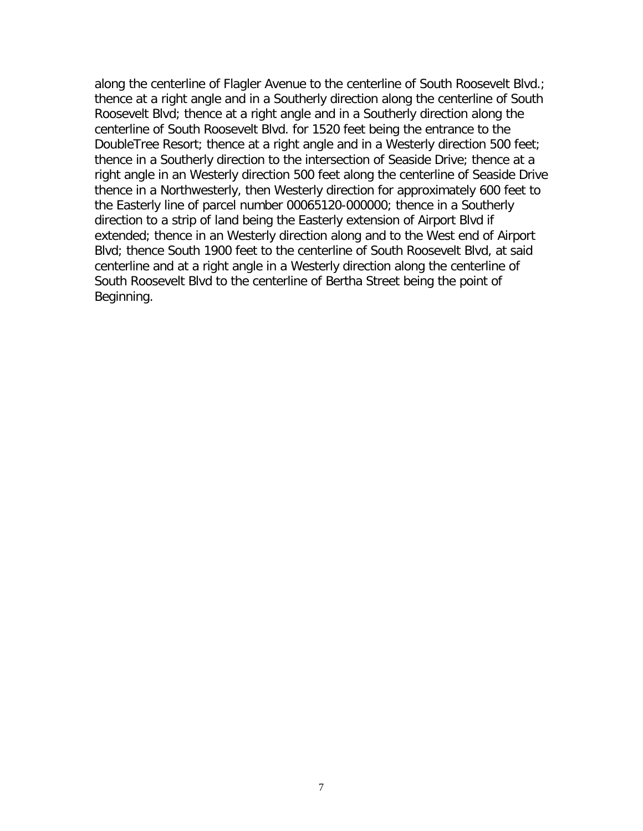along the centerline of Flagler Avenue to the centerline of South Roosevelt Blvd.; thence at a right angle and in a Southerly direction along the centerline of South Roosevelt Blvd; thence at a right angle and in a Southerly direction along the centerline of South Roosevelt Blvd. for 1520 feet being the entrance to the DoubleTree Resort; thence at a right angle and in a Westerly direction 500 feet; thence in a Southerly direction to the intersection of Seaside Drive; thence at a right angle in an Westerly direction 500 feet along the centerline of Seaside Drive thence in a Northwesterly, then Westerly direction for approximately 600 feet to the Easterly line of parcel number 00065120-000000; thence in a Southerly direction to a strip of land being the Easterly extension of Airport Blvd if extended; thence in an Westerly direction along and to the West end of Airport Blvd; thence South 1900 feet to the centerline of South Roosevelt Blvd, at said centerline and at a right angle in a Westerly direction along the centerline of South Roosevelt Blvd to the centerline of Bertha Street being the point of Beginning.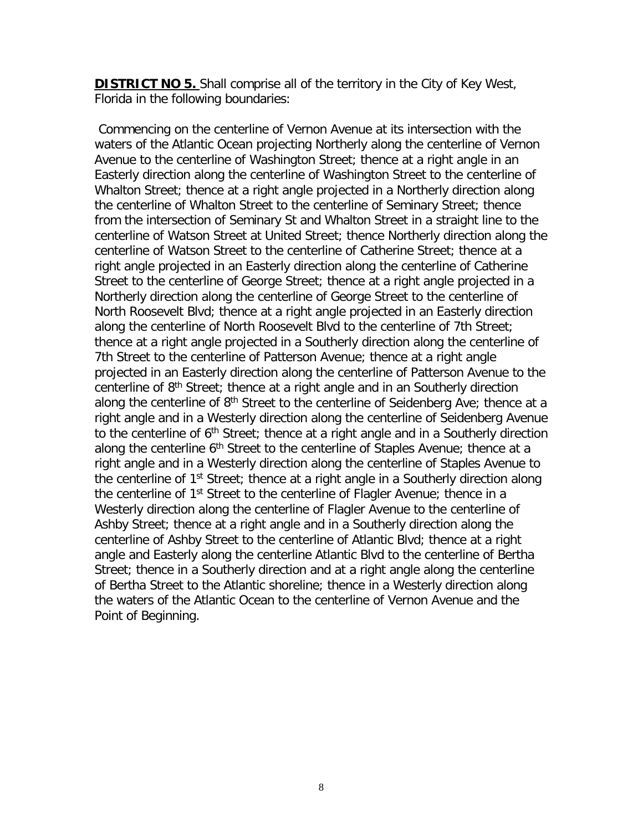**DISTRICT NO 5.** Shall comprise all of the territory in the City of Key West, Florida in the following boundaries:

Commencing on the centerline of Vernon Avenue at its intersection with the waters of the Atlantic Ocean projecting Northerly along the centerline of Vernon Avenue to the centerline of Washington Street; thence at a right angle in an Easterly direction along the centerline of Washington Street to the centerline of Whalton Street; thence at a right angle projected in a Northerly direction along the centerline of Whalton Street to the centerline of Seminary Street; thence from the intersection of Seminary St and Whalton Street in a straight line to the centerline of Watson Street at United Street; thence Northerly direction along the centerline of Watson Street to the centerline of Catherine Street; thence at a right angle projected in an Easterly direction along the centerline of Catherine Street to the centerline of George Street; thence at a right angle projected in a Northerly direction along the centerline of George Street to the centerline of North Roosevelt Blvd; thence at a right angle projected in an Easterly direction along the centerline of North Roosevelt Blvd to the centerline of 7th Street; thence at a right angle projected in a Southerly direction along the centerline of 7th Street to the centerline of Patterson Avenue; thence at a right angle projected in an Easterly direction along the centerline of Patterson Avenue to the centerline of 8<sup>th</sup> Street; thence at a right angle and in an Southerly direction along the centerline of  $8<sup>th</sup>$  Street to the centerline of Seidenberg Ave; thence at a right angle and in a Westerly direction along the centerline of Seidenberg Avenue to the centerline of 6<sup>th</sup> Street; thence at a right angle and in a Southerly direction along the centerline 6<sup>th</sup> Street to the centerline of Staples Avenue; thence at a right angle and in a Westerly direction along the centerline of Staples Avenue to the centerline of  $1<sup>st</sup>$  Street; thence at a right angle in a Southerly direction along the centerline of 1<sup>st</sup> Street to the centerline of Flagler Avenue; thence in a Westerly direction along the centerline of Flagler Avenue to the centerline of Ashby Street; thence at a right angle and in a Southerly direction along the centerline of Ashby Street to the centerline of Atlantic Blvd; thence at a right angle and Easterly along the centerline Atlantic Blvd to the centerline of Bertha Street; thence in a Southerly direction and at a right angle along the centerline of Bertha Street to the Atlantic shoreline; thence in a Westerly direction along the waters of the Atlantic Ocean to the centerline of Vernon Avenue and the Point of Beginning.